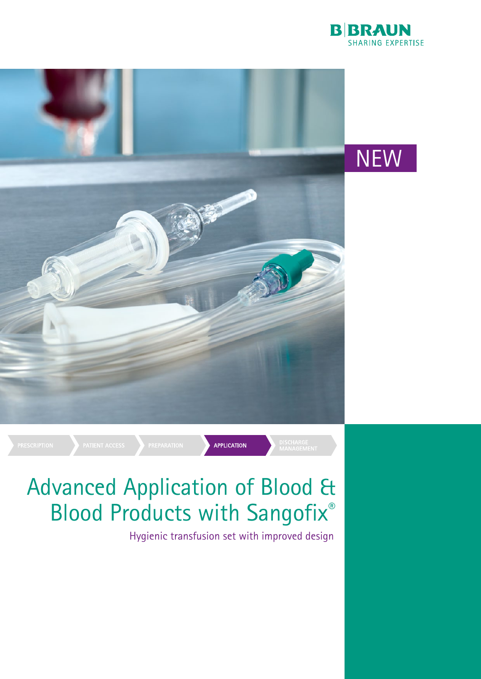



# Advanced Application of Blood & Blood Products with Sangofix®

Hygienic transfusion set with improved design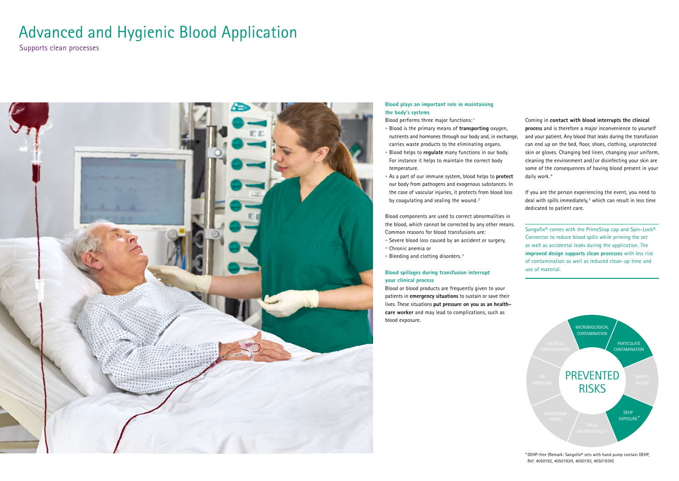## **Blood plays an important role in maintaining the body's systems**

- · Blood is the primary means of **transporting** oxygen, nutrients and hormones through our body and, in exchange, carries waste products to the eliminating organs.
- · Blood helps to **regulate** many functions in our body. For instance it helps to maintain the correct body temperature.
- · As a part of our immune system, blood helps to **protect** our body from pathogens and exogenous substances. In the case of vascular injuries, it protects from blood loss by coagulating and sealing the wound. $2$

Blood performs three major functions: 1

Blood components are used to correct abnormalities in the blood, which cannot be corrected by any other means. Common reasons for blood transfusions are:

- · Severe blood loss caused by an accident or surgery,
- · Chronic anemia or
- · Bleeding and clotting disorders. 3

### **Blood spillages during transfusion interrupt your clinical process**

Blood or blood products are frequently given to your patients in **emergency situations** to sustain or save their lives. These situations **put pressure on you as an healthcare worker** and may lead to complications, such as blood exposure.

Sangofix<sup>®</sup> comes with the PrimeStop cap and Spin-Lock<sup>®</sup> Connector to reduce blood spills while priming the set as well as accidental leaks during the application. The **improved design supports clean processes** with less risk of contamination as well as reduced clean-up time and use of material.

Coming in **contact with blood interrupts the clinical process** and is therefore a major inconvenience to yourself and your patient. Any blood that leaks during the transfusion can end up on the bed, floor, shoes, clothing, unprotected skin or gloves. Changing bed linen, changing your uniform, cleaning the environment and / or disinfecting your skin are some of the consequences of having blood present in your daily work. 4

If you are the person experiencing the event, you need to deal with spills immediately,<sup>5</sup> which can result in less time dedicated to patient care.

Supports clean processes



# Advanced and Hygienic Blood Application



\* DEHP-free (Remark: Sangofi x® sets with hand pump contain DEHP, Ref. 4050192, 4050192H, 4050193, 4050193H)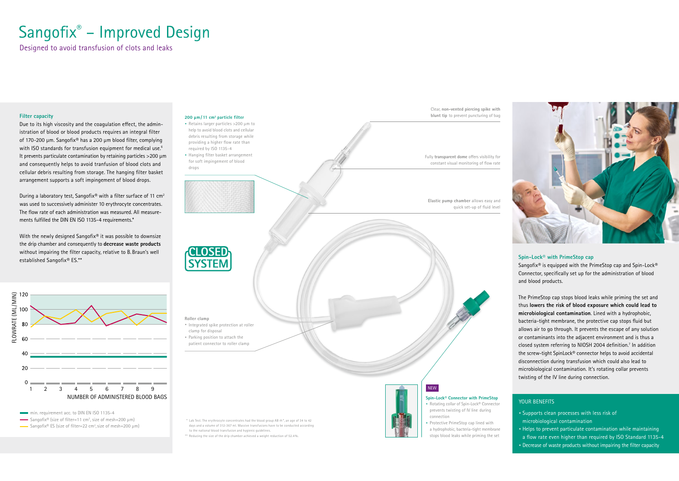# Sangofix® - Improved Design

Designed to avoid transfusion of clots and leaks



min. requirement acc. to DIN EN ISO 1135-4

Sangofix® (size of filter=11 cm<sup>2</sup>, size of mesh=200  $\mu$ m)

Sangofix® ES (size of filter=22 cm<sup>2</sup>, size of mesh=200  $\mu$ m)

### **Filter capacity**

Due to its high viscosity and the coagulation effect, the administration of blood or blood products requires an integral filter of 170-200  $\mu$ m. Sangofix® has a 200  $\mu$ m blood filter, complying with ISO standards for transfusion equipment for medical use.<sup>6</sup> It prevents particulate contamination by retaining particles >200 µm and consequently helps to avoid tranfusion of blood clots and cellular debris resulting from storage. The hanging filter basket arrangement supports a soft impingement of blood drops.

During a laboratory test, Sangofix® with a filter surface of 11  $cm<sup>2</sup>$ was used to successively administer 10 erythrocyte concentrates. The flow rate of each administration was measured. All measurements fulfilled the DIN EN ISO 1135-4 requirements.\*

With the newly designed Sangofix® it was possible to downsize the drip chamber and consequently to **decrease waste products** without impairing the filter capacity, relative to B. Braun's well established Sangofix® ES.\*\* **Spin-Lock®** with PrimeStop cap

Sangofix® is equipped with the PrimeStop cap and Spin-Lock® Connector, specifically set up for the administration of blood and blood products.

- · Supports clean processes with less risk of microbiological contamination
- · Helps to prevent particulate contamination while maintaining a flow rate even higher than required by ISO Standard 1135-4
- Decrease of waste products without impairing the filter capacity

The PrimeStop cap stops blood leaks while priming the set and thus **lowers the risk of blood exposure which could lead to microbiological contamination**. Lined with a hydrophobic, bacteria-tight membrane, the protective cap stops fluid but allows air to go through. It prevents the escape of any solution or contaminants into the adjacent environment and is thus a closed system referring to NIOSH 2004 definition.<sup>7</sup> In addition the screw-tight SpinLock® connector helps to avoid accidental disconnection during transfusion which could also lead to microbiological contamination. It's rotating collar prevents twisting of the IV line during connection.

### YOUR BENEFITS



#### **200 µm / 11 cm2 particle filter**

- · Retains larger particles >200 µm to help to avoid blood clots and cellular debris resulting from storage while providing a higher flow rate than required by ISO 1135-4
- Hanging filter basket arrangement for soft impingement of blood drops

Clear, **non-vented piercing spike with blunt tip** to prevent puncturing of bag

Fully *transparent dome* offers visibility for constant visual monitoring of flow rate

**Elastic pump chamber** allows easy and quick set-up of fluid level



**Roller clamp**

- · Integrated spike protection at roller clamp for disposal
- · Parking position to attach the patient connector to roller clamp

### **Spin-Lock® Connector with PrimeStop**

- · Rotating collar of Spin-Lock® Connector prevents twisting of IV line during connection
- · Protective PrimeStop cap lined with a hydrophobic, bacteria-tight membrane stops blood leaks while priming the set



NEW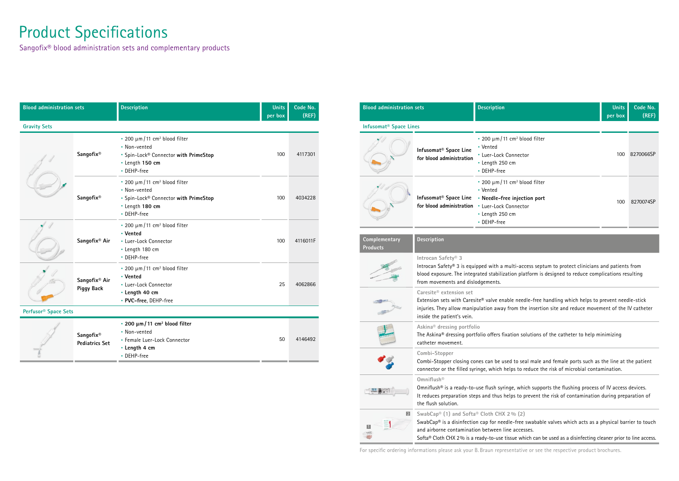| <b>Blood administration sets</b> |                                    | <b>Description</b>                                                                                                                          | <b>Units</b><br>per box | Code No.<br>(REF) |  |  |  |
|----------------------------------|------------------------------------|---------------------------------------------------------------------------------------------------------------------------------------------|-------------------------|-------------------|--|--|--|
| <b>Gravity Sets</b>              |                                    |                                                                                                                                             |                         |                   |  |  |  |
|                                  | Sangofix®                          | $\approx$ 200 µm/11 cm <sup>2</sup> blood filter<br>• Non-vented<br>· Spin-Lock® Connector with PrimeStop<br>· Length 150 cm<br>- DEHP-free | 100                     | 4117301           |  |  |  |
|                                  | Sangofix®                          | $\approx$ 200 µm/11 cm <sup>2</sup> blood filter<br>• Non-vented<br>· Spin-Lock® Connector with PrimeStop<br>· Length 180 cm<br>- DEHP-free | 100                     | 4034228           |  |  |  |
|                                  | Sangofix <sup>®</sup> Air          | $\approx$ 200 µm/11 cm <sup>2</sup> blood filter<br>• Vented<br>- Luer-Lock Connector<br>- Length 180 cm<br>- DEHP-free                     | 100                     | 4116011F          |  |  |  |
|                                  | Sangofix® Air<br><b>Piggy Back</b> | $\approx$ 200 µm/11 cm <sup>2</sup> blood filter<br>• Vented<br>• Luer-Lock Connector<br>• Length 40 cm<br>· PVC-free, DEHP-free            | 25                      | 4062866           |  |  |  |
| Perfusor <sup>®</sup> Space Sets |                                    |                                                                                                                                             |                         |                   |  |  |  |
|                                  | Sangofix®<br><b>Pediatrics Set</b> | • 200 μm/11 cm <sup>2</sup> blood filter<br>• Non-vented<br>· Female Luer-Lock Connector<br>• Length 4 cm<br>• DEHP-free                    | 50                      | 4146492           |  |  |  |

# **Product Specifications**

Sangofix® blood administration sets and complementary products

| <b>Blood administration sets</b>   |                                                                                                                                                                                                                                                                                   | <b>Description</b>                                                                                                                                      | <b>Units</b><br>per box | Code No.<br>(REF) |  |  |  |
|------------------------------------|-----------------------------------------------------------------------------------------------------------------------------------------------------------------------------------------------------------------------------------------------------------------------------------|---------------------------------------------------------------------------------------------------------------------------------------------------------|-------------------------|-------------------|--|--|--|
| Infusomat <sup>®</sup> Space Lines |                                                                                                                                                                                                                                                                                   |                                                                                                                                                         |                         |                   |  |  |  |
|                                    | Infusomat <sup>®</sup> Space Line<br>for blood administration                                                                                                                                                                                                                     | $\approx$ 200 µm/11 cm <sup>2</sup> blood filter<br>• Vented<br>- Luer-Lock Connector<br>· Length 250 cm<br>- DEHP-free                                 | 100                     | 8270066SP         |  |  |  |
|                                    | Infusomat <sup>®</sup> Space Line<br>for blood administration                                                                                                                                                                                                                     | $\approx$ 200 µm/11 cm <sup>2</sup> blood filter<br>• Vented<br>• Needle-free injection port<br>- Luer-Lock Connector<br>• Length 250 cm<br>• DEHP-free | 100                     | 8270074SP         |  |  |  |
| Complementary<br><b>Products</b>   | <b>Description</b>                                                                                                                                                                                                                                                                |                                                                                                                                                         |                         |                   |  |  |  |
|                                    | Introcan Safety <sup>®</sup> 3<br>Introcan Safety® 3 is equipped with a multi-access septum to protect clinicians and patients from<br>blood exposure. The integrated stabilization platform is designed to reduce complications resulting<br>from movements and dislodgements.   |                                                                                                                                                         |                         |                   |  |  |  |
|                                    | Caresite <sup>®</sup> extension set<br>Extension sets with Caresite® valve enable needle-free handling which helps to prevent needle-stick<br>injuries. They allow manipulation away from the insertion site and reduce movement of the IV catheter<br>inside the patient's vein. |                                                                                                                                                         |                         |                   |  |  |  |
|                                    | Askina <sup>®</sup> dressing portfolio<br>The Askina® dressing portfolio offers fixation solutions of the catheter to help minimizing<br>catheter movement.                                                                                                                       |                                                                                                                                                         |                         |                   |  |  |  |
|                                    | Combi-Stopper<br>Combi-Stopper closing cones can be used to seal male and female ports such as the line at the patient<br>connector or the filled syringe, which helps to reduce the risk of microbial contamination.                                                             |                                                                                                                                                         |                         |                   |  |  |  |
|                                    | Omniflush®<br>Omniflush® is a ready-to-use flush syringe, which supports the flushing process of IV access devices.<br>It reduces preparation steps and thus helps to prevent the risk of contamination during preparation of<br>the flush solution.                              |                                                                                                                                                         |                         |                   |  |  |  |
| 2 <br>ш                            | SwabCap® (1) and Softa® Cloth CHX 2% (2)<br>SwabCap® is a disinfection cap for needle-free swabable valves which acts as a physical barrier to touch<br>and airborne contamination between line accesses.                                                                         |                                                                                                                                                         |                         |                   |  |  |  |

For specific ordering informations please ask your B. Braun representative or see the respective product brochures.

Softa® Cloth CHX 2 % is a ready-to-use tissue which can be used as a disinfecting cleaner prior to line access.